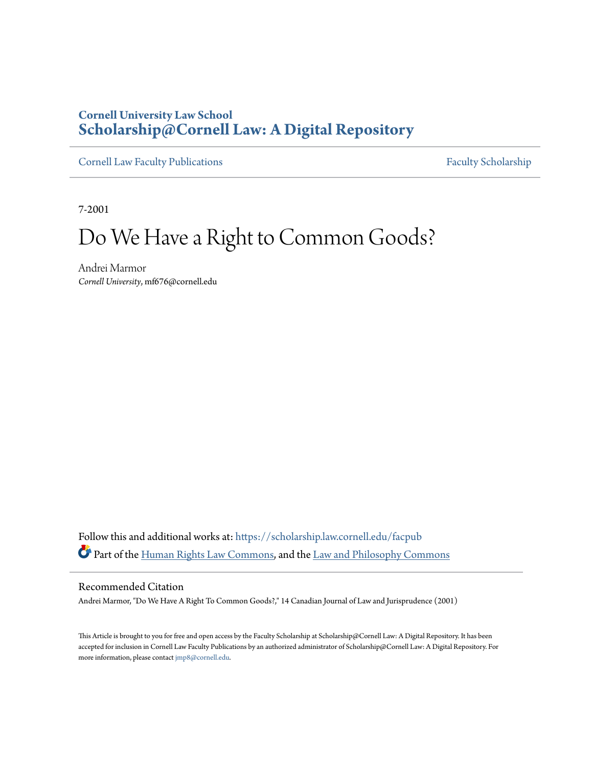### **Cornell University Law School [Scholarship@Cornell Law: A Digital Repository](https://scholarship.law.cornell.edu?utm_source=scholarship.law.cornell.edu%2Ffacpub%2F1440&utm_medium=PDF&utm_campaign=PDFCoverPages)**

[Cornell Law Faculty Publications](https://scholarship.law.cornell.edu/facpub?utm_source=scholarship.law.cornell.edu%2Ffacpub%2F1440&utm_medium=PDF&utm_campaign=PDFCoverPages) [Faculty Scholarship](https://scholarship.law.cornell.edu/facsch?utm_source=scholarship.law.cornell.edu%2Ffacpub%2F1440&utm_medium=PDF&utm_campaign=PDFCoverPages)

7-2001

# Do We Have a Right to Common Goods?

Andrei Marmor *Cornell University*, mf676@cornell.edu

Follow this and additional works at: [https://scholarship.law.cornell.edu/facpub](https://scholarship.law.cornell.edu/facpub?utm_source=scholarship.law.cornell.edu%2Ffacpub%2F1440&utm_medium=PDF&utm_campaign=PDFCoverPages) Part of the [Human Rights Law Commons,](http://network.bepress.com/hgg/discipline/847?utm_source=scholarship.law.cornell.edu%2Ffacpub%2F1440&utm_medium=PDF&utm_campaign=PDFCoverPages) and the [Law and Philosophy Commons](http://network.bepress.com/hgg/discipline/1299?utm_source=scholarship.law.cornell.edu%2Ffacpub%2F1440&utm_medium=PDF&utm_campaign=PDFCoverPages)

### Recommended Citation

Andrei Marmor, "Do We Have A Right To Common Goods?," 14 Canadian Journal of Law and Jurisprudence (2001)

This Article is brought to you for free and open access by the Faculty Scholarship at Scholarship@Cornell Law: A Digital Repository. It has been accepted for inclusion in Cornell Law Faculty Publications by an authorized administrator of Scholarship@Cornell Law: A Digital Repository. For more information, please contact [jmp8@cornell.edu.](mailto:jmp8@cornell.edu)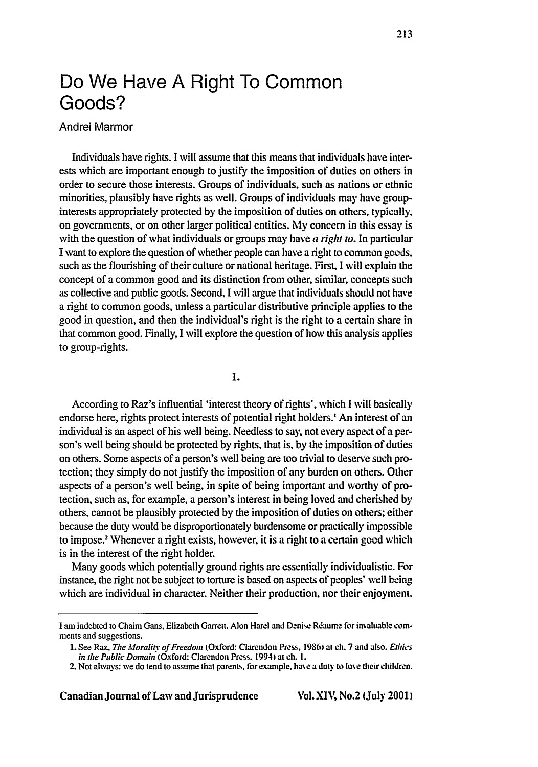## Do We Have **A** Right To Common Goods?

### Andrei Marmor

Individuals have rights. **I** will assume that this means that individuals have interests which are important enough to justify the imposition of duties on others in order to secure those interests. Groups of individuals, such as nations or ethnic minorities, plausibly have rights as well. Groups of individuals may have groupinterests appropriately protected by the imposition of duties on others, typically, on governments, or on other larger political entities. My concern in this essay is with the question of what individuals or groups may have *a* right to. In particular I want to explore the question of whether people can have a right to common goods, such as the flourishing of their culture or national heritage. First, I will explain the concept of a common good and its distinction from other, similar, concepts such as collective and public goods. Second, I will argue that individuals should not have a right to common goods, unless a particular distributive principle applies to the good in question, and then the individual's right is the right to a certain share in that common good. Finally, I will explore the question of how this analysis applies to group-rights.

1.

According to Raz's influential 'interest theory of rights', which I will basically endorse here, rights protect interests of potential right holders.' An interest of an individual is an aspect of his well being. Needless to say, not every aspect of a person's well being should be protected by rights, that is, by the imposition of duties on others. Some aspects of a person's well being are too trivial to deserve such protection; they simply do not justify the imposition of any burden on others. Other aspects of a person's well being, in spite of being important and worthy of protection, such as, for example, a person's interest in being loved and cherished by others, cannot be plausibly protected by the imposition of duties on others; either because the duty would be disproportionately burdensome or practically impossible to impose.2 Whenever a right exists, however, it is a right to a certain good which is in the interest of the right holder.

Many goods which potentially ground rights are essentially individualistic. For instance, the right not be subject to torture is based on aspects of peoples' well being which are individual in character. Neither their production, nor their enjoyment,

Canadian Journal of Law and Jurisprudence **Vol. XI, No.2** ( **July 2001)**

I am indebted to Chaim Gans, Elizabeth Garrett, Alon Hard and Denise Rdaume for in% aluable comments and suggestions.

<sup>1.</sup> See Raz, *The Morality of Freedom* (Oxford: Clarendon Press. **19861** at ch. 7 and also. *Ethics in the Public Domain* (Oxford: Clarendon Press. 1994) at ch. I.

<sup>2.</sup> Not always: we do tend to assume that parents, for example, have a duty to love their children.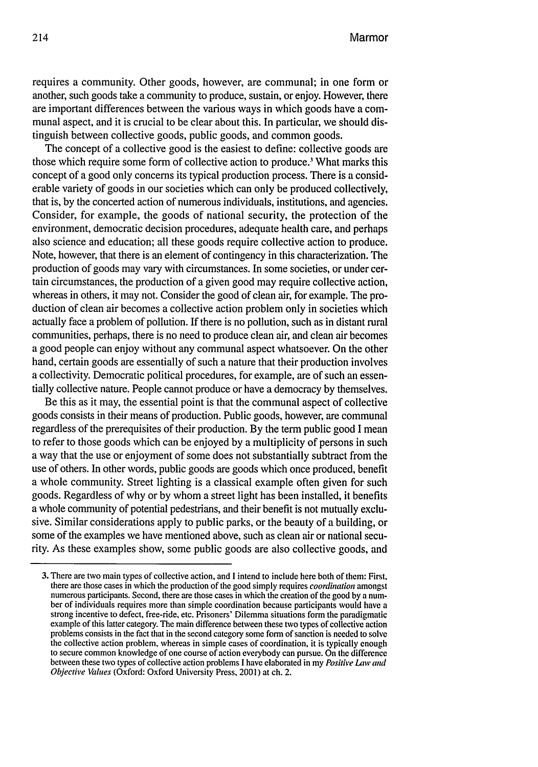#### Marmor

requires a community. Other goods, however, are communal; in one form or another, such goods take a community to produce, sustain, or enjoy. However, there are important differences between the various ways in which goods have a communal aspect, and it is crucial to be clear about this. In particular, we should distinguish between collective goods, public goods, and common goods.

The concept of a collective good is the easiest to define: collective goods are those which require some form of collective action to produce.' What marks this concept of a good only concerns its typical production process. There is a considerable variety of goods in our societies which can only be produced collectively, that is, by the concerted action of numerous individuals, institutions, and agencies. Consider, for example, the goods of national security, the protection of the environment, democratic decision procedures, adequate health care, and perhaps also science and education; all these goods require collective action to produce. Note, however, that there is an element of contingency in this characterization. The production of goods may vary with circumstances. In some societies, or under certain circumstances, the production of a given good may require collective action, whereas in others, it may not. Consider the good of clean air, for example. The production of clean air becomes a collective action problem only in societies which actually face a problem of pollution. If there is no pollution, such as in distant rural communities, perhaps, there is no need to produce clean air, and clean air becomes a good people can enjoy without any communal aspect whatsoever. On the other hand, certain goods are essentially of such a nature that their production involves a collectivity. Democratic political procedures, for example, are of such an essentially collective nature. People cannot produce or have a democracy by themselves.

Be this as it may, the essential point is that the communal aspect of collective goods consists in their means of production. Public goods, however, are communal regardless of the prerequisites of their production. By the term public good I mean to refer to those goods which can be enjoyed by a multiplicity of persons in such a way that the use or enjoyment of some does not substantially subtract from the use of others. In other words, public goods are goods which once produced, benefit a whole community. Street lighting is a classical example often given for such goods. Regardless of why or by whom a street light has been installed, it benefits a whole community of potential pedestrians, and their benefit is not mutually exclusive. Similar considerations apply to public parks, or the beauty of a building, or some of the examples we have mentioned above, such as clean air or national security. As these examples show, some public goods are also collective goods, and

<sup>3.</sup> There are two main types of collective action, and I intend to include here both of them: First. there are those cases in which the production of the good simply requires *coordination* amongst numerous participants. Second, there are those cases in which the creation of the good by a number of individuals requires more than simple coordination because participants would have a strong incentive to defect, free-ride, etc. Prisoners' Dilemma situations form the paradigmatic example of this latter category. The main difference between these two types of collective action problems consists in the fact that in the second category some form of sanction is needed to solve the collective action problem, whereas in simple cases of coordination, it is typically enough to secure common knowledge of one course of action everybody can pursue. On the difference between these two types of collective action problems I have elaborated in my *Positive Law and Objective Vahtes* (Oxford: Oxford University Press, 2001) at ch. 2.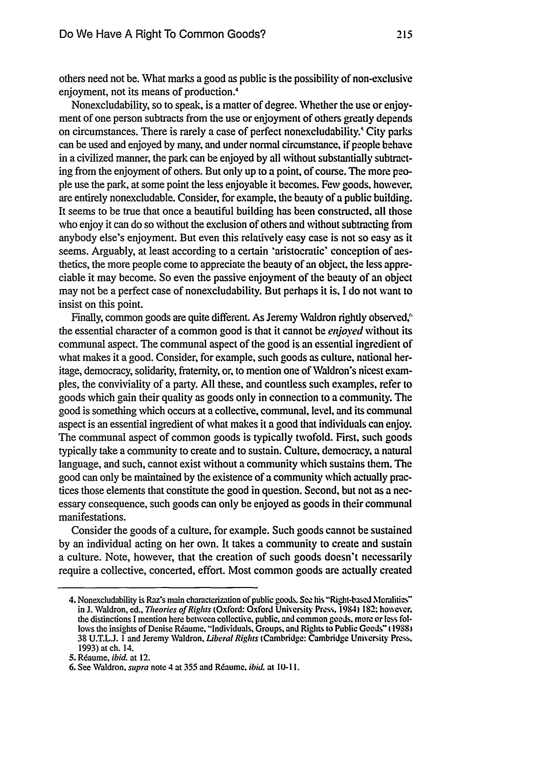others need not be. What marks a good as public is the possibility of non-exclusive enjoyment, not its means of production.'

Nonexcludability, so to speak, is a matter of degree. Whether the use or enjoyment of one person subtracts from the use or enjoyment of others greatly depends on circumstances. There is rarely a case of perfect nonexcludability.' City parks can be used and enjoyed by many, and under normal circumstance, if people behave in a civilized manner, the park can be enjoyed by all without substantially subtracting from the enjoyment of others. But only up to a point, of course. The more people use the park, at some point the less enjoyable it becomes. Few goods, however, are entirely nonexcludable. Consider, for example, the beauty of a public building. It seems to be true that once a beautiful building has been constructed, all those who enjoy it can do so without the exclusion of others and without subtracting from anybody else's enjoyment. But even this relatively easy case is not so easy as it seems. Arguably, at least according to a certain 'aristocratic' conception of aesthetics, the more people come to appreciate the beauty of an object, the less appreciable it may become. So even the passive enjoyment of the beauty of an object may not be a perfect case of nonexcludability. But perhaps it is, I do not want to insist on this point.

Finally, common goods are quite different. As Jeremy Waldron rightly observed,<sup>6</sup> the essential character of a common good is that it cannot be *enjoyed* without its communal aspect. The communal aspect of the good is an essential ingredient of what makes it a good. Consider, for example, such goods as culture, national heritage, democracy, solidarity, fraternity, or, to mention one of Waldron's nicest exampies, the conviviality of a party. All these, and countless such examples, refer to goods which gain their quality as goods only in connection to a community. The good is something which occurs at a collective, communal, level, and its communal aspect is an essential ingredient of what makes it a good that individuals can enjoy. The communal aspect of common goods is typically twofold. First, such goods typically take a community to create and to sustain. Culture, democracy, a natural language, and such, cannot exist without a community which sustains them. The good can only be maintained by the existence of a community which actually praetices those elements that constitute the good in question. Second, but not as a necessary consequence, such goods can only be enjoyed as goods in their communal manifestations.

Consider the goods of a culture, for example. Such goods cannot be sustained by an individual acting on her own. It takes a community to create and sustain a culture. Note, however, that the creation of such goods doesn't necessarily require a collective, concerted, effort. Most common goods are actually created

<sup>4.</sup> Nonexcludability is Raz's main characterization of public goos. See his "Right-based Moralities" in **J.** Waldron, ed., *Theories of Rights* (Oxford: Oxford University Press. 1984) **182;** however the distinctions I mention here between collective, public, and common goods, more or less **fol**lows the insights of Denise Réaume, "Individuals, Groups, and Rights to Public Goods" **(1988)** 38 U.T.L.J. I and Jeremy valdron. *Liberal Rights* (Cambridge: Cambridge University Press. 1993) at ch. 14.

**<sup>5.</sup>** Rtaume, *ibid.* at 12.

**<sup>6.</sup>** See Waldron, supra note 4 at 355 and Rdaume. ibid. at **10-1I.**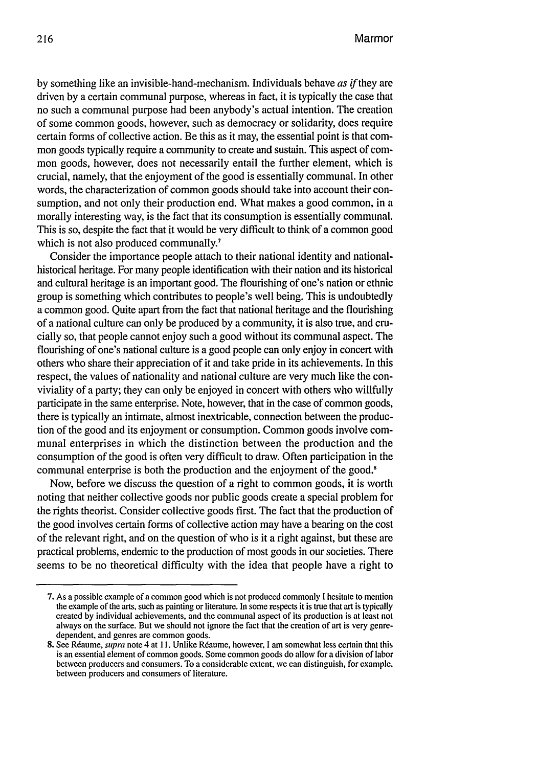**by** something like an invisible-hand-mechanism. Individuals behave as ifthey are driven by a certain communal purpose, whereas in fact, it is typically the case that no such a communal purpose had been anybody's actual intention. The creation of some common goods, however, such as democracy or solidarity, does require certain forms of collective action. Be this as it may, the essential point is that common goods typically require a community to create and sustain. This aspect of common goods, however, does not necessarily entail the further element, which is crucial, namely, that the enjoyment of the good is essentially communal. In other words, the characterization of common goods should take into account their consumption, and not only their production end. What makes a good common, in a morally interesting way, is the fact that its consumption is essentially communal. This is so, despite the fact that it would be very difficult to think of a common good which is not also produced communally.<sup>7</sup>

Consider the importance people attach to their national identity and nationalhistorical heritage. For many people identification with their nation and its historical and cultural heritage is an important good. The flourishing of one's nation or ethnic group is something which contributes to people's well being. This is undoubtedly a common good. Quite apart from the fact that national heritage and the flourishing of a national culture can only be produced by a community, it is also true, and crucially so, that people cannot enjoy such a good without its communal aspect. The flourishing of one's national culture is a good people can only enjoy in concert with others who share their appreciation of it and take pride in its achievements. In this respect, the values of nationality and national culture are very much like the conviviality of a party; they can only be enjoyed in concert with others who willfully participate in the same enterprise. Note, however, that in the case of common goods, there is typically an intimate, almost inextricable, connection between the production of the good and its enjoyment or consumption. Common goods involve communal enterprises in which the distinction between the production and the consumption of the good is often very difficult to draw. Often participation in the communal enterprise is both the production and the enjoyment of the good.<sup>8</sup>

Now, before we discuss the question of a right to common goods, it is worth noting that neither collective goods nor public goods create a special problem for the rights theorist. Consider collective goods first. The fact that the production of the good involves certain forms of collective action may have a bearing on the cost of the relevant right, and on the question of who is it a right against, but these are practical problems, endemic to the production of most goods in our societies. There seems to be no theoretical difficulty with the idea that people have a right to

<sup>7.</sup> As a possible example of a common good which is not produced commonly I hesitate to mention the example of the arts, such as painting or literature. In some respects it is true that art is typically created by individual achievements, and the communal aspect of its production is at least not always on the surface. But we should not ignore the fact that the creation of art is very genredependent, and genres are common goods.

<sup>8.</sup> See Réaume, *supra* note 4 at 11. Unlike Réaume, however, I am somewhat less certain that this is an essential element of common goods. Some common goods do allow for a division of labor between producers and consumers. To a considerable extent, we can distinguish, for example. between producers and consumers of literature.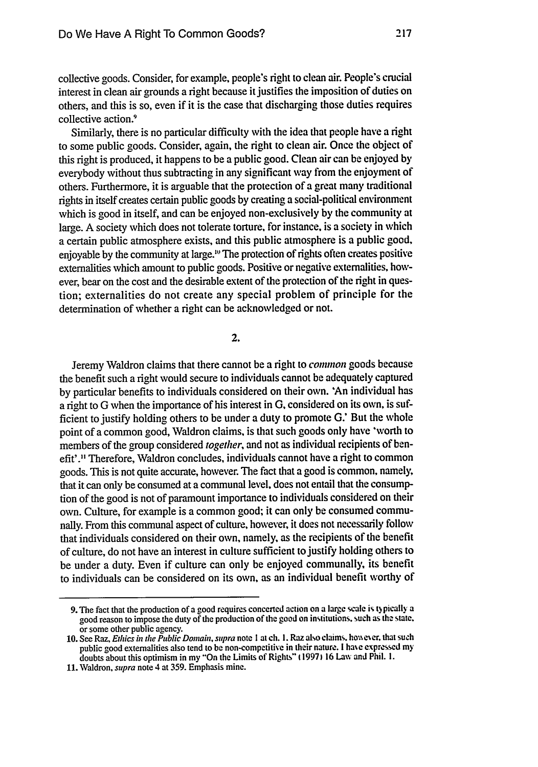collective goods. Consider, for example, people's right to clean air. People's crucial interest in clean air grounds a right because it justifies the imposition of duties on others, and this is so, even if it is the case that discharging those duties requires collective action.<sup>9</sup>

Similarly, there is no particular difficulty with the idea that people have a right to some public goods. Consider, again, the right to clean air. Once the object of this right is produced, it happens to be a public good. Clean air can be enjoyed by everybody without thus subtracting in any significant way from the enjoyment of others. Furthermore, it is arguable that the protection of a great many traditional rights in itself creates certain public goods by creating a social-political environment which is good in itself, and can be enjoyed non-exclusively by the community at large. A society which does not tolerate torture, for instance, is a society in which a certain public atmosphere exists, and this public atmosphere is a public good, enjoyable by the community at large.<sup>10</sup> The protection of rights often creates positive externalities which amount to public goods. Positive or negative externalities, however, bear on the cost and the desirable extent of the protection of the right in question; externalities do not create any special problem of principle for the determination of whether a right can be acknowledged or not.

2.

Jeremy Waldron claims that there cannot be a right to *conimon* goods because the benefit such a right would secure to individuals cannot be adequately captured by particular benefits to individuals considered on their own. 'An individual has a right to G when the importance of his interest in G, considered on its own, is sufficient to justify holding others to be under a duty to promote G.' But the whole point of a common good, Waldron claims, is that such goods only have 'worth to members of the group considered *together,* and not as individual recipients of benefit'." Therefore, Waldron concludes, individuals cannot have a right to common goods. This is not quite accurate, however. The fact that a good is common, namely that it can only be consumed at a communal level, does not entail that the consumption of the good is not of paramount importance to individuals considered on their own. Culture, for example is a common good; it can only be consumed communally. From this communal aspect of culture, however, it does not necessarily follow that individuals considered on their own, namely, as the recipients of the benefit of culture, do not have an interest in culture sufficient to justify holding others to be under a duty. Even if culture can only be enjoyed communally, its benefit to individuals can be considered on its own, as an individual benefit worthy of

**<sup>9.</sup>** The fact that the production of a good requires concerted action on a large scale is typically a good reason to impose the duty of the production of the good on institutions, such as the state. or some other public agency.

<sup>10.</sup> See Raz, Ethics in the Public Domain, supra note 1 at ch. 1. Raz also claims, however, that such public good externalities also tend to be non-competitive in their nature. **I** hac expressed my doubts about this optimism in my "On the Limits of Rights" **u1997) 16 Law** and Phil. **I.**

<sup>11.</sup> Waldron, supra note 4 at 359. Emphasis mine.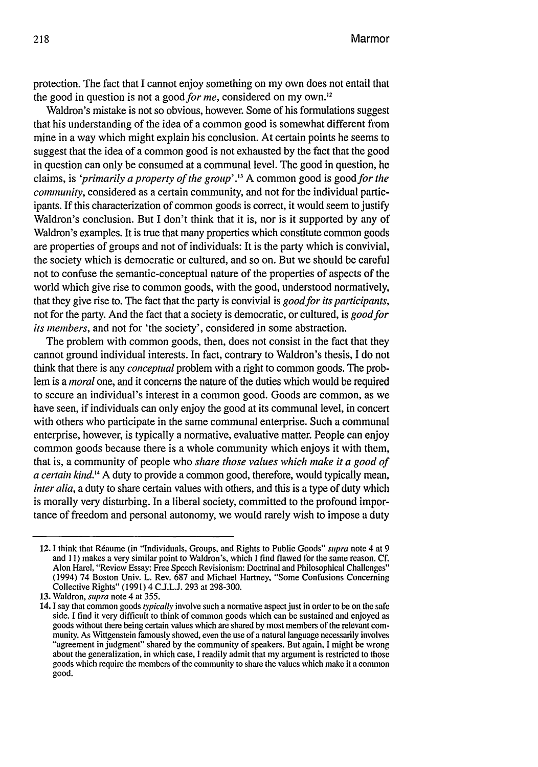protection. The fact that I cannot enjoy something on my own does not entail that the good in question is not a good *for me*, considered on my own.<sup>12</sup>

Waldron's mistake is not so obvious, however. Some of his formulations suggest that his understanding of the idea of a common good is somewhat different from mine in a way which might explain his conclusion. At certain points he seems to suggest that the idea of a common good is not exhausted by the fact that the good in question can only be consumed at a communal level. The good in question, he claims, is *'primarily a property of the group'. <sup>3</sup>*A common good is *goodfor the community,* considered as a certain community, and not for the individual participants. If this characterization of common goods is correct, it would seem to justify Waldron's conclusion. But I don't think that it is, nor is it supported by any of Waldron's examples. It is true that many properties which constitute common goods are properties of groups and not of individuals: It is the party which is convivial, the society which is democratic or cultured, and so on. But we should be careful not to confuse the semantic-conceptual nature of the properties of aspects of the world which give rise to common goods, with the good, understood normatively, that they give rise to. The fact that the party is convivial is *good for its participants,* not for the party. And the fact that a society is democratic, or cultured, is *good for its members,* and not for 'the society', considered in some abstraction.

The problem with common goods, then, does not consist in the fact that they cannot ground individual interests. In fact, contrary to Waldron's thesis, I do not think that there is any *conceptual* problem with a right to common goods. The problem is a *moral* one, and it concerns the nature of the duties which would be required to secure an individual's interest in a common good. Goods are common, as we have seen, if individuals can only enjoy the good at its communal level, in concert with others who participate in the same communal enterprise. Such a communal enterprise, however, is typically a normative, evaluative matter. People can enjoy common goods because there is a whole community which enjoys it with them, that is, a community of people who *share those values which make it a good of a certain kind."* A duty to provide a common good, therefore, would typically mean, *inter alia,* a duty to share certain values with others, and this is a type of duty which is morally very disturbing. In a liberal society, committed to the profound importance of freedom and personal autonomy, we would rarely wish to impose a duty

<sup>12.</sup> I think that R~aume (in "Individuals, Groups, and Rights to Public Goods" *supra* note 4 at 9 and 11) makes a very similar point to Waldron's, which I find flawed for the same reason. Cf. Alon Harel, "Review Essay: Free Speech Revisionism: Doctrinal and Philosophical Challenges" (1994) 74 Boston Univ. L. Rev. 687 and Michael Hartney, "Some Confusions Concerning Collective Rights" (1991) 4 C.J.L.J. 293 at 298-300.

<sup>13.</sup> Waldron, supra note 4 at 355.

<sup>14.</sup> I say that common goods *typically* involve such a normative aspect just in order to be on the safe side. I find it very difficult to think of common goods which can be sustained and enjoyed as goods without there being certain values which are shared by most members of the relevant com munity. As Wittgenstein famously showed, even the use of a natural language necessarily involves "agreement in judgment" shared by the community of speakers. But again, I might be wrong about the generalization, in which case, I readily admit that my argument is restricted to those goods which require the members of the community to share the values which make it a common good.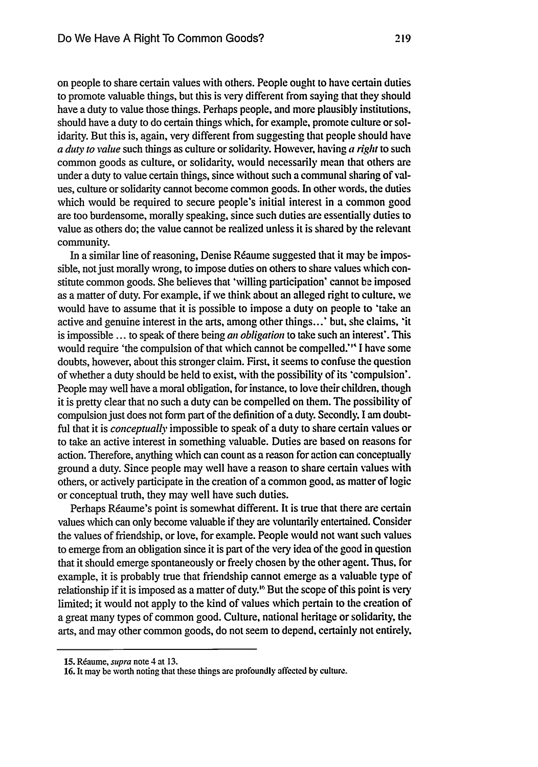on people to share certain values with others. People ought to have certain duties to promote valuable things, but this is very different from saying that they should have a duty to value those things. Perhaps people, and more plausibly institutions, should have a duty to do certain things which, for example, promote culture or solidarity. But this is, again, very different from suggesting that people should have *a duty to value* such things as culture or solidarity. However, having *a* right to such common goods as culture, or solidarity, would necessarily mean that others are under a duty to value certain things, since without such a communal sharing of values, culture or solidarity cannot become common goods. In other words, the duties which would be required to secure people's initial interest in a common good are too burdensome, morally speaking, since such duties are essentially duties to value as others do; the value cannot be realized unless it is shared by the relevant community.

In a similar line of reasoning, Denise Réaume suggested that it may be impossible, not just morally wrong, to impose duties on others to share values which constitute common goods. She believes that 'willing participation' cannot be imposed as a matter of duty. For example, if we think about an alleged right to culture, we would have to assume that it is possible to impose a duty on people to 'take an active and genuine interest in the arts, among other things...' but, she claims, 'it is impossible **...** to speak of there being an *obligation* to take such an interest'. This would require 'the compulsion of that which cannot be compelled."' I have some doubts, however, about this stronger claim. First. it seems to confuse the question of whether a duty should be held to exist, with the possibility of its 'compulsion'. People may well have a moral obligation, for instance, to love their children, though it is pretty clear that no such a duty can be compelled on them. The possibility of compulsion just does not form part of the definition of a duty. Secondly, I am doubtful that it is *conceptually* impossible to speak of a duty to share certain values or to take an active interest in something valuable. Duties are based on reasons for action. Therefore, anything which can count as a reason for action can conceptually ground a duty. Since people may well have a reason to share certain values with others, or actively participate in the creation of a common good, as matter of logic or conceptual truth, they may well have such duties.

Perhaps Réaume's point is somewhat different. It is true that there are certain values which can only become valuable if they are voluntarily entertained. Consider the values of friendship, or love, for example. People would not want such values to emerge from an obligation since it is part of the very idea of the good in question that it should emerge spontaneously or freely chosen by the other agent. Thus, for example, it is probably true that friendship cannot emerge as a valuable type of relationship if it is imposed as a matter of duty.<sup>16</sup> But the scope of this point is very limited; it would not apply to the kind of values which pertain to the creation of a great many types of common good. Culture, national heritage or solidarity, the arts, and may other common goods, do not seem to depend, certainly not entirely,

<sup>15.</sup> Réaume, *supra* note 4 at 13.

**<sup>16.</sup>** It may be worth noting that these things are profoundly affected by culture.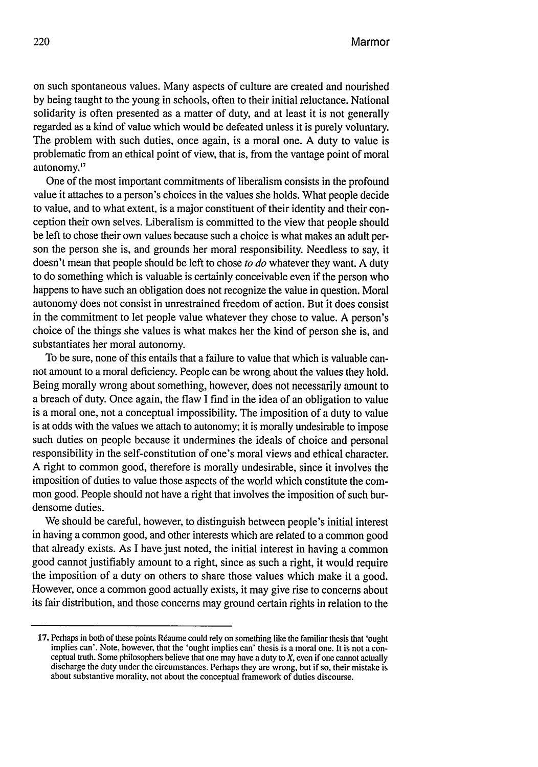on such spontaneous values. Many aspects of culture are created and nourished by being taught to the young in schools, often to their initial reluctance. National solidarity is often presented as a matter of duty, and at least it is not generally regarded as a kind of value which would be defeated unless it is purely voluntary. The problem with such duties, once again, is a moral one. A duty to value is problematic from an ethical point of view, that is, from the vantage point of moral autonomy.<sup>17</sup>

One of the most important commitments of liberalism consists in the profound value it attaches to a person's choices in the values she holds. What people decide to value, and to what extent, is a major constituent of their identity and their conception their own selves. Liberalism is committed to the view that people should be left to chose their own values because such a choice is what makes an adult person the person she is, and grounds her moral responsibility. Needless to say, it doesn't mean that people should be left to chose *to* do whatever they want. A duty to do something which is valuable is certainly conceivable even if the person who happens to have such an obligation does not recognize the value in question. Moral autonomy does not consist in unrestrained freedom of action. But it does consist in the commitment to let people value whatever they chose to value. A person's choice of the things she values is what makes her the kind of person she is, and substantiates her moral autonomy.

To be sure, none of this entails that a failure to value that which is valuable cannot amount to a moral deficiency. People can be wrong about the values they hold. Being morally wrong about something, however, does not necessarily amount to a breach of duty. Once again, the flaw I find in the idea of an obligation to value is a moral one, not a conceptual impossibility. The imposition of a duty to value is at odds with the values we attach to autonomy; it is morally undesirable to impose such duties on people because it undermines the ideals of choice and personal responsibility in the self-constitution of one's moral views and ethical character. A right to common good, therefore is morally undesirable, since it involves the imposition of duties to value those aspects of the world which constitute the common good. People should not have a right that involves the imposition of such burdensome duties.

We should be careful, however, to distinguish between people's initial interest in having a common good, and other interests which are related to a common good that already exists. As I have just noted, the initial interest in having a common good cannot justifiably amount to a right, since as such a right, it would require the imposition of a duty on others to share those values which make it a good. However, once a common good actually exists, it may give rise to concerns about its fair distribution, and those concerns may ground certain rights in relation to the

<sup>17.</sup> Perhaps in both of these points Réaume could rely on something like the familiar thesis that 'ought implies can'. Note, however, that the 'ought implies can' thesis is a moral one. It is not a conceptual truth. Some philosophers believe that one may have a duty *toX,* even if one cannot actually discharge the duty under the circumstances. Perhaps they are wrong, but if so, their mistake is about substantive morality, not about the conceptual framework of duties discourse.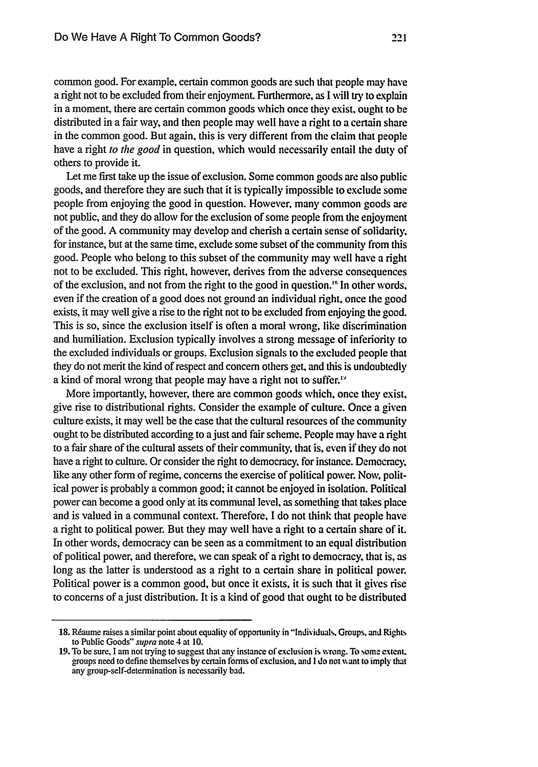common good. For example, certain common goods are such that people may have a right not to be excluded from their enjoyment. Furthermore, as I will try to explain in a moment, there are certain common goods which once they exist, ought to be distributed in a fair way, and then people may well have a right to a certain share in the common good. But again, this is very different from the claim that people have a right *to the good* in question, which would necessarily entail the duty of others to provide it.

Let me first take up the issue of exclusion. Some common goods are also public goods, and therefore they are such that it is typically impossible to exclude some people from enjoying the good in question. However, many common goods are not public, and they do allow for the exclusion of some people from the enjoyment of the good. A community may develop and cherish a certain sense of solidarity. for instance, but at the same time, exclude some subset of the community from this good. People who belong to this subset of the community may well have a right not to be excluded. This right, however, derives from the adverse consequences of the exclusion, and not from the right to the good in question.<sup>'"</sup> In other words, even if the creation of a good does not ground an individual right, once the good exists, it may well give a rise to the right not to be excluded from enjoying the good. This is so, since the exclusion itself is often a moral wrong, like discrimination and humiliation. Exclusion typically involves a strong message of inferiority to the excluded individuals or groups. Exclusion signals to the excluded people that they do not merit the kind of respect and concern others get, and this is undoubtedly a kind of moral wrong that people may have a right not to suffer."

More importantly, however, there are common goods which, once they exist, give rise to distributional rights. Consider the example of culture. Once a given culture exists, it may well be the case that the cultural resources of the community ought to be distributed according to a just and fair scheme. People may have a right to a fair share of the cultural assets of their community, that is, even if they do not have a right to culture. Or consider the right to democracy, for instance. Democracy, like any other form of regime, concerns the exercise of political power. Now, political power is probably a common good; it cannot be enjoyed in isolation. Political power can become a good only at its communal level, as something that takes place and is valued in a communal context. Therefore, I do not think that people have a right to political power. But they may well have a right to a certain share of it. In other words, democracy can be seen as a commitment to an equal distribution of political power, and therefore, we can speak of a right to democracy, that is, as long as the latter is understood as a right to a certain share in political power. Political power is a common good, but once it exists, it is such that it gives rise to concerns of ajust distribution. It is a kind of good that ought to be distributed

<sup>18.</sup> R6aume raises a similar point about equality of opportunity in "'Individuats, Groups. and Rights to Public Goods" supra note 4 at 10.

**<sup>19.</sup>** To be sure, I am not trying to suggest that any instance of exclusion is wrong. To some extent. groups need to define themselves by certain forms of exclusion, and I do not want to imply that any group-self-determination is necessarily bad.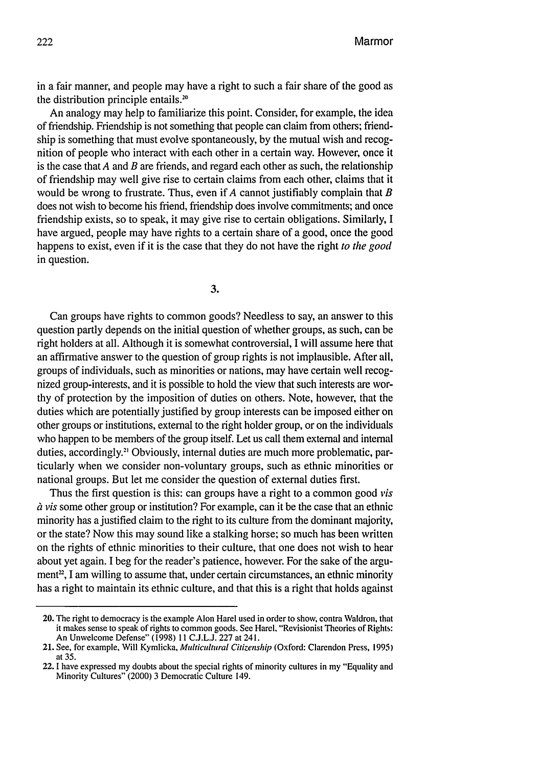in a fair manner, and people may have a right to such a fair share of the good as the distribution principle entails."

An analogy may help to familiarize this point. Consider, for example, the idea of friendship. Friendship is not something that people can claim from others; friendship is something that must evolve spontaneously, by the mutual wish and recognition of people who interact with each other in a certain way. However, once it is the case that *A* and *B* are friends, and regard each other as such, the relationship of friendship may well give rise to certain claims from each other, claims that it would be wrong to frustrate. Thus, even if A cannot justifiably complain that *B* does not wish to become his friend, friendship does involve commitments; and once friendship exists, so to speak, it may give rise to certain obligations. Similarly, I have argued, people may have rights to a certain share of a good, once the good happens to exist, even if it is the case that they do not have the right *to the good* in question.

3.

Can groups have rights to common goods? Needless to say, an answer to this question partly depends on the initial question of whether groups, as such, can be right holders at all. Although it is somewhat controversial, I will assume here that an affirmative answer to the question of group rights is not implausible. After all, groups of individuals, such as minorities or nations, may have certain well recognized group-interests, and it is possible to hold the view that such interests are worthy of protection by the imposition of duties on others. Note, however, that the duties which are potentially justified by group interests can be imposed either on other groups or institutions, external to the right holder group, or on the individuals who happen to be members of the group itself. Let us call them external and internal duties, accordingly.<sup>21</sup> Obviously, internal duties are much more problematic, particularly when we consider non-voluntary groups, such as ethnic minorities or national groups. But let me consider the question of external duties first.

Thus the first question is this: can groups have a right to a common good *vis i vis* some other group or institution? For example, can it be the case that an ethnic minority has a justified claim to the right to its culture from the dominant majority, or the state? Now this may sound like a stalking horse; so much has been written on the rights of ethnic minorities to their culture, that one does not wish to hear about yet again. I beg for the reader's patience, however. For the sake of the argument<sup>22</sup>, I am willing to assume that, under certain circumstances, an ethnic minority has a right to maintain its ethnic culture, and that this is a right that holds against

<sup>20.</sup> The right to democracy is the example Alon Harel used in order to show, contra Valdron, that it makes sense to speak of rights to common goods. See Harel, "Revisionist Theories of Rights: An Unwelcome Defense" (1998) 11 C.J.L.J. 227 at 241.

<sup>21.</sup> See, for example, Will Kymlicka, *Multicultural Citizenship* (Oxford: Clarendon Press, 1995) at 35.

<sup>22.</sup> I have expressed my doubts about the special rights of minority cultures in my "Equality and Minority Cultures" (2000) 3 Democratic Culture 149.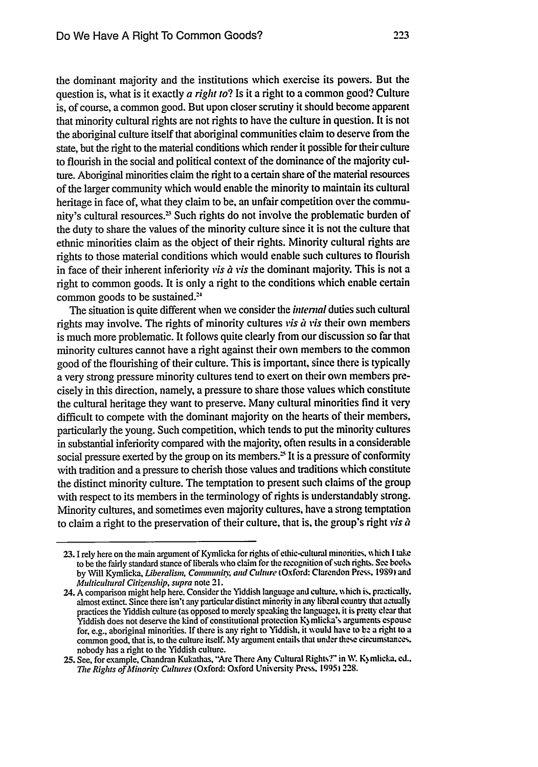the dominant majority and the institutions which exercise its powers. But the question is, what is it exactly a right to? Is it a right to a common good? Culture is, of course, a common good. But upon closer scrutiny it should become apparent that minority cultural rights are not rights to have the culture in question. It is not the aboriginal culture itself that aboriginal communities claim to deserve from the state, but the right to the material conditions which render it possible for their culture to flourish in the social and political context of the dominance of the majority culture. Aboriginal minorities claim the right to a certain share of the material resources of the larger community which would enable the minority to maintain its cultural heritage in face of, what they claim to be, an unfair competition over the community's cultural resources.<sup>23</sup> Such rights do not involve the problematic burden of the duty to share the values of the minority culture since it is not the culture that ethnic minorities claim as the object of their rights. Minority cultural rights are rights to those material conditions which would enable such cultures to flourish in face of their inherent inferiority vis *&* vis the dominant majority. This is not a right to common goods. It is only a right to the conditions which enable certain common goods to be sustained.<sup>24</sup>

The situation is quite different when we consider the *internal* duties such cultural rights may involve. The rights of minority cultures *vis à vis* their own members is much more problematic. It follows quite clearly from our discussion so far that minority cultures cannot have a right against their own members to the common good of the flourishing of their culture. This is important, since there is typically a very strong pressure minority cultures tend to exert on their own members precisely in this direction, namely, a pressure to share those values which constitute the cultural heritage they want to preserve. Many cultural minorities find it very difficult to compete with the dominant majority on the hearts of their members, particularly the young. Such competition, which tends to put the minority cultures in substantial inferiority compared with the majority, often results in a considerable social pressure exerted by the group on its members.<sup> $\approx$ </sup> It is a pressure of conformity with tradition and a pressure to cherish those values and traditions which constitute the distinct minority culture. The temptation to present such claims of the group with respect to its members in the terminology of rights is understandably strong. Minority cultures, and sometimes even majority cultures, have a strong temptation to claim a right to the preservation of their culture, that is, the group's right *vis*  $\dot{a}$ 

**<sup>23.</sup>** 1 rely here on the main argument of Kymlicka for rights **of** ethic-cultural minorities. **%** hich I take to be the fairly standard stance of liberals who claim for the recognition of such rights. See books by Will Kymlicka, *Liberalism, Conmunity and Culture* tOxford: Clarendon Press. 19891 and *Multicultural Citizenship, supra* note 21.

<sup>24.</sup> A comparison might help here. Consider the Yiddish language and culture, which is, practically, almost extinct. Since there isn't any particular distinct minority in any liberal country that actually practices the Yiddish culture (as opposed to merely speaking the language), it is pretty clear that Yiddish does not deserve the kind of constitutional protection Kymlicka's arguments espouse for, e.g., aboriginal minorities. If there is any right to Yiddish. it would have to be a right to a common good, that is, to the culture itself. My argument entails that under these circumstances. nobody has a right to the Yiddish culture.

<sup>25.</sup> See, for example, Chandran Kukathas, "Are There Any Cultural Rights?" in W. Kymlicka, ed., *The Rights of Minority Cultures* (Oxford: Oxford University Press. 19951228.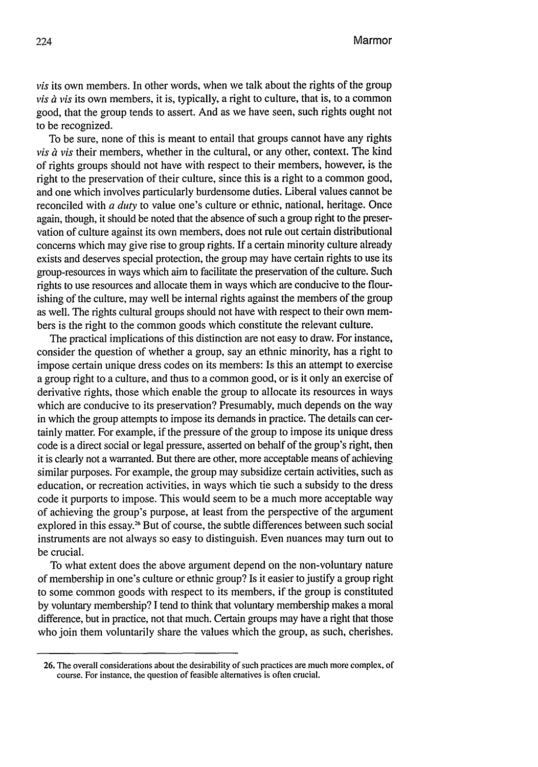*vis* its own members. In other words, when we talk about the rights of the group *vis à vis* its own members, it is, typically, a right to culture, that is, to a common good, that the group tends to assert. And as we have seen, such rights ought not to be recognized.

To be sure, none of this is meant to entail that groups cannot have any rights *vis a vis* their members, whether in the cultural, or any other, context. The kind of rights groups should not have with respect to their members, however, is the right to the preservation of their culture, since this is a right to a common good, and one which involves particularly burdensome duties. Liberal values cannot be reconciled with *a duty* to value one's culture or ethnic, national, heritage. Once again, though, it should be noted that the absence of such a group right to the preservation of culture against its own members, does not rule out certain distributional concerns which may give rise to group rights. If a certain minority culture already exists and deserves special protection, the group may have certain rights to use its group-resources in ways which aim to facilitate the preservation of the culture. Such rights to use resources and allocate them in ways which are conducive to the flourishing of the culture, may well be internal rights against the members of the group as well. The rights cultural groups should not have with respect to their own members is the right to the common goods which constitute the relevant culture.

The practical implications of this distinction are not easy to draw. For instance, consider the question of whether a group, say an ethnic minority, has a right to impose certain unique dress codes on its members: Is this an attempt to exercise a group right to a culture, and thus to a common good, or is it only an exercise of derivative rights, those which enable the group to allocate its resources in ways which are conducive to its preservation? Presumably, much depends on the way in which the group attempts to impose its demands in practice. The details can certainly matter. For example, if the pressure of the group to impose its unique dress code is a direct social or legal pressure, asserted on behalf of the group's right, then it is clearly not a warranted. But there are other, more acceptable means of achieving similar purposes. For example, the group may subsidize certain activities, such as education, or recreation activities, in ways which tie such a subsidy to the dress code it purports to impose. This would seem to be a much more acceptable way of achieving the group's purpose, at least from the perspective of the argument explored in this essay.<sup>26</sup> But of course, the subtle differences between such social instruments are not always so easy to distinguish. Even nuances may turn out to be crucial.

To what extent does the above argument depend on the non-voluntary nature of membership in one's culture or ethnic group? Is it easier to justify a group right to some common goods with respect to its members, if the group is constituted by voluntary membership? I tend to think that voluntary membership makes a moral difference, but in practice, not that much. Certain groups may have a right that those who join them voluntarily share the values which the group, as such, cherishes.

<sup>26.</sup> The overall considerations about the desirability of such practices are much more complex, of course. For instance, the question of feasible alternatives is often crucial.